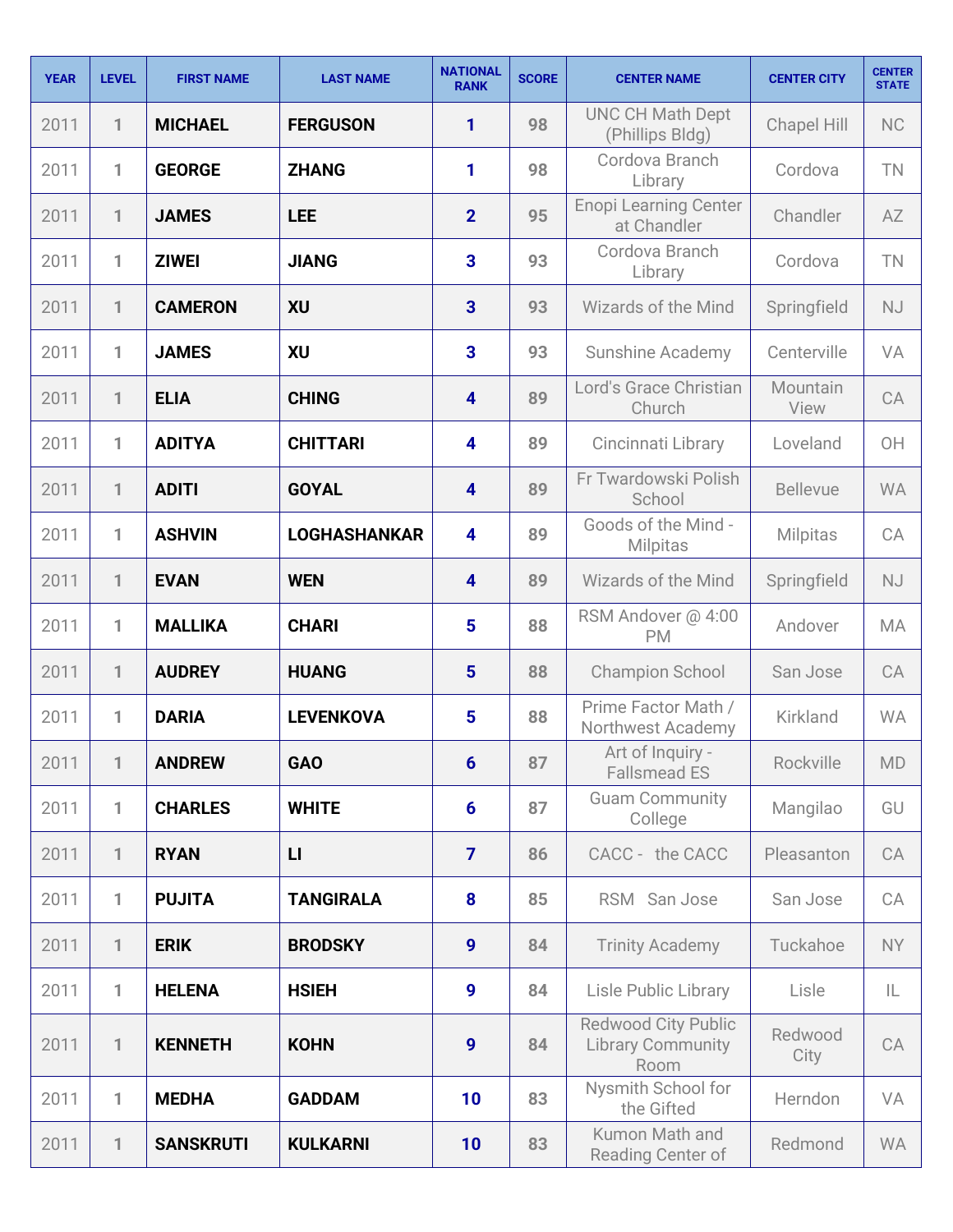| <b>YEAR</b> | <b>LEVEL</b> | <b>FIRST NAME</b> | <b>LAST NAME</b>    | <b>NATIONAL</b><br><b>RANK</b> | <b>SCORE</b> | <b>CENTER NAME</b>                                             | <b>CENTER CITY</b> | <b>CENTER</b><br><b>STATE</b> |
|-------------|--------------|-------------------|---------------------|--------------------------------|--------------|----------------------------------------------------------------|--------------------|-------------------------------|
| 2011        | 1            | <b>MICHAEL</b>    | <b>FERGUSON</b>     | 1                              | 98           | <b>UNC CH Math Dept</b><br>(Phillips Bldg)                     | <b>Chapel Hill</b> | <b>NC</b>                     |
| 2011        | 1            | <b>GEORGE</b>     | <b>ZHANG</b>        | 1                              | 98           | Cordova Branch<br>Library                                      | Cordova            | TN                            |
| 2011        | 1            | <b>JAMES</b>      | <b>LEE</b>          | $\overline{2}$                 | 95           | <b>Enopi Learning Center</b><br>at Chandler                    | Chandler           | AZ                            |
| 2011        | 1            | <b>ZIWEI</b>      | <b>JIANG</b>        | 3                              | 93           | Cordova Branch<br>Library                                      | Cordova            | TN                            |
| 2011        | 1            | <b>CAMERON</b>    | <b>XU</b>           | $\overline{3}$                 | 93           | <b>Wizards of the Mind</b>                                     | Springfield        | <b>NJ</b>                     |
| 2011        | 1            | <b>JAMES</b>      | XU                  | 3                              | 93           | <b>Sunshine Academy</b>                                        | Centerville        | VA                            |
| 2011        | $\mathbf{1}$ | <b>ELIA</b>       | <b>CHING</b>        | $\overline{\mathbf{4}}$        | 89           | Lord's Grace Christian<br>Church                               | Mountain<br>View   | CA                            |
| 2011        | 1            | <b>ADITYA</b>     | <b>CHITTARI</b>     | $\overline{\mathbf{4}}$        | 89           | Cincinnati Library                                             | Loveland           | OH                            |
| 2011        | 1            | <b>ADITI</b>      | <b>GOYAL</b>        | $\overline{\mathbf{4}}$        | 89           | Fr Twardowski Polish<br>School                                 | <b>Bellevue</b>    | <b>WA</b>                     |
| 2011        | 1            | <b>ASHVIN</b>     | <b>LOGHASHANKAR</b> | $\overline{\mathbf{4}}$        | 89           | Goods of the Mind -<br><b>Milpitas</b>                         | Milpitas           | CA                            |
| 2011        | 1            | <b>EVAN</b>       | <b>WEN</b>          | 4                              | 89           | <b>Wizards of the Mind</b>                                     | Springfield        | <b>NJ</b>                     |
| 2011        | 1            | <b>MALLIKA</b>    | <b>CHARI</b>        | 5                              | 88           | RSM Andover @ 4:00<br><b>PM</b>                                | Andover            | MA                            |
| 2011        | $\mathbf{1}$ | <b>AUDREY</b>     | <b>HUANG</b>        | $5\phantom{1}$                 | 88           | <b>Champion School</b>                                         | San Jose           | CA                            |
| 2011        | 1            | <b>DARIA</b>      | <b>LEVENKOVA</b>    | $5\phantom{1}$                 | 88           | Prime Factor Math /<br>Northwest Academy                       | Kirkland           | <b>WA</b>                     |
| 2011        | 1            | <b>ANDREW</b>     | <b>GAO</b>          | 6                              | 87           | Art of Inquiry -<br><b>Fallsmead ES</b>                        | Rockville          | <b>MD</b>                     |
| 2011        | 1            | <b>CHARLES</b>    | <b>WHITE</b>        | $6\phantom{1}6$                | 87           | <b>Guam Community</b><br>College                               | Mangilao           | GU                            |
| 2011        | 1            | <b>RYAN</b>       | $\mathsf{L}$        | $\overline{7}$                 | 86           | CACC - the CACC                                                | Pleasanton         | CA                            |
| 2011        | 1            | <b>PUJITA</b>     | <b>TANGIRALA</b>    | 8                              | 85           | RSM San Jose                                                   | San Jose           | CA                            |
| 2011        | 1            | <b>ERIK</b>       | <b>BRODSKY</b>      | $\boldsymbol{9}$               | 84           | <b>Trinity Academy</b>                                         | Tuckahoe           | <b>NY</b>                     |
| 2011        | 1            | <b>HELENA</b>     | <b>HSIEH</b>        | 9                              | 84           | <b>Lisle Public Library</b>                                    | Lisle              | IL                            |
| 2011        | $\mathbf{1}$ | <b>KENNETH</b>    | <b>KOHN</b>         | 9                              | 84           | <b>Redwood City Public</b><br><b>Library Community</b><br>Room | Redwood<br>City    | CA                            |
| 2011        | 1            | <b>MEDHA</b>      | <b>GADDAM</b>       | 10                             | 83           | Nysmith School for<br>the Gifted                               | Herndon            | VA                            |
| 2011        | 1            | <b>SANSKRUTI</b>  | <b>KULKARNI</b>     | 10                             | 83           | Kumon Math and<br>Reading Center of                            | Redmond            | <b>WA</b>                     |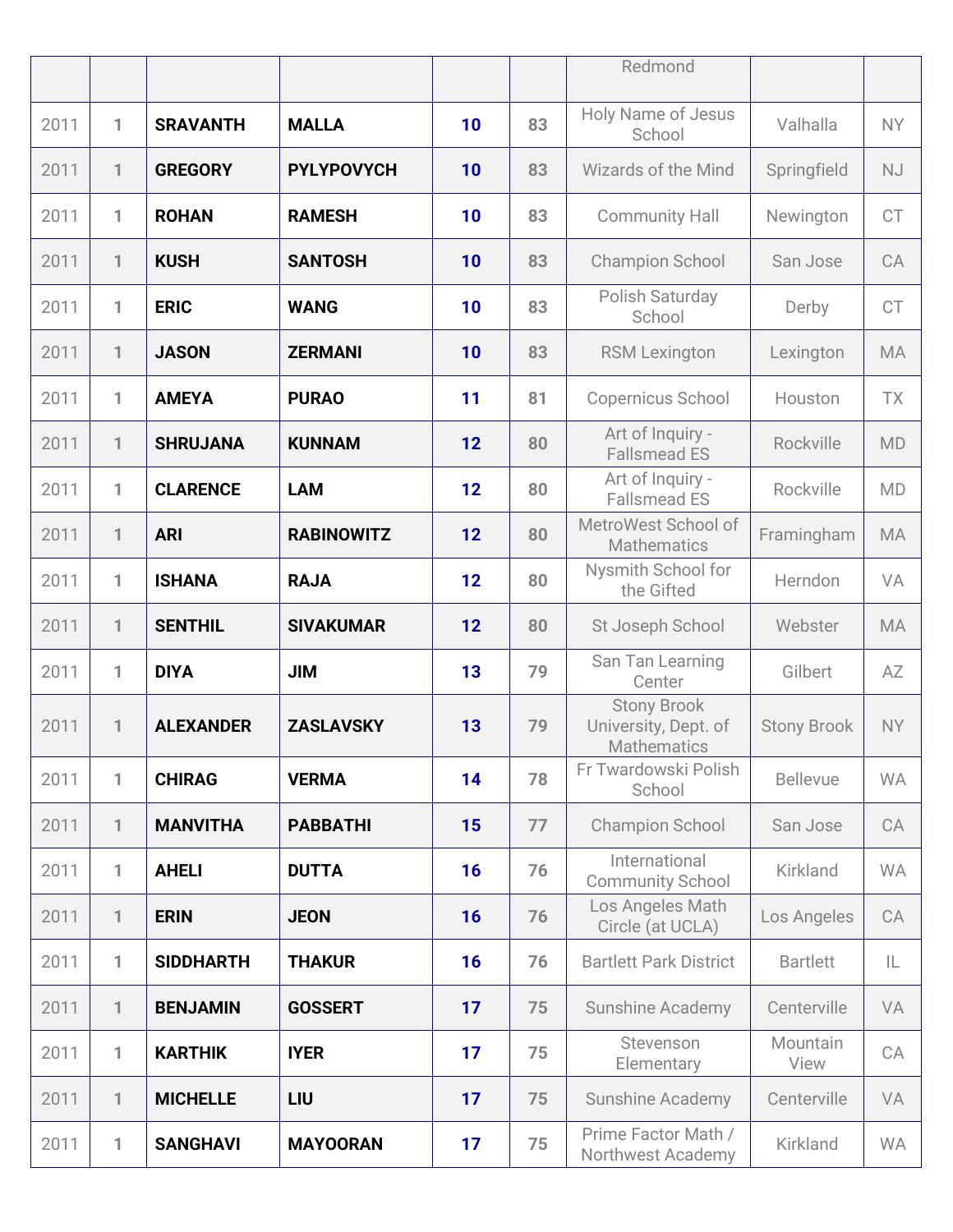|      |              |                  |                   |    |    | Redmond                                                          |                    |           |
|------|--------------|------------------|-------------------|----|----|------------------------------------------------------------------|--------------------|-----------|
| 2011 | 1            | <b>SRAVANTH</b>  | <b>MALLA</b>      | 10 | 83 | <b>Holy Name of Jesus</b><br>School                              | Valhalla           | <b>NY</b> |
| 2011 | 1            | <b>GREGORY</b>   | <b>PYLYPOVYCH</b> | 10 | 83 | <b>Wizards of the Mind</b>                                       | Springfield        | NJ        |
| 2011 | 1            | <b>ROHAN</b>     | <b>RAMESH</b>     | 10 | 83 | <b>Community Hall</b>                                            | Newington          | <b>CT</b> |
| 2011 | 1            | <b>KUSH</b>      | <b>SANTOSH</b>    | 10 | 83 | <b>Champion School</b>                                           | San Jose           | CA        |
| 2011 | 1            | <b>ERIC</b>      | <b>WANG</b>       | 10 | 83 | Polish Saturday<br>School                                        | Derby              | <b>CT</b> |
| 2011 | 1            | <b>JASON</b>     | <b>ZERMANI</b>    | 10 | 83 | <b>RSM Lexington</b>                                             | Lexington          | <b>MA</b> |
| 2011 | 1            | <b>AMEYA</b>     | <b>PURAO</b>      | 11 | 81 | Copernicus School                                                | Houston            | <b>TX</b> |
| 2011 | 1            | <b>SHRUJANA</b>  | <b>KUNNAM</b>     | 12 | 80 | Art of Inquiry -<br><b>Fallsmead ES</b>                          | Rockville          | <b>MD</b> |
| 2011 | 1            | <b>CLARENCE</b>  | <b>LAM</b>        | 12 | 80 | Art of Inquiry -<br><b>Fallsmead ES</b>                          | Rockville          | <b>MD</b> |
| 2011 | 1            | <b>ARI</b>       | <b>RABINOWITZ</b> | 12 | 80 | MetroWest School of<br><b>Mathematics</b>                        | Framingham         | <b>MA</b> |
| 2011 | 1            | <b>ISHANA</b>    | <b>RAJA</b>       | 12 | 80 | Nysmith School for<br>the Gifted                                 | Herndon            | VA        |
| 2011 | $\mathbf{1}$ | <b>SENTHIL</b>   | <b>SIVAKUMAR</b>  | 12 | 80 | St Joseph School                                                 | Webster            | <b>MA</b> |
| 2011 | 1            | <b>DIYA</b>      | <b>JIM</b>        | 13 | 79 | San Tan Learning<br>Center                                       | Gilbert            | AZ        |
| 2011 | 1            | <b>ALEXANDER</b> | <b>ZASLAVSKY</b>  | 13 | 79 | <b>Stony Brook</b><br>University, Dept. of<br><b>Mathematics</b> | <b>Stony Brook</b> | <b>NY</b> |
| 2011 | 1            | <b>CHIRAG</b>    | <b>VERMA</b>      | 14 | 78 | Fr Twardowski Polish<br>School                                   | <b>Bellevue</b>    | <b>WA</b> |
| 2011 | $\mathbf{1}$ | <b>MANVITHA</b>  | <b>PABBATHI</b>   | 15 | 77 | <b>Champion School</b>                                           | San Jose           | CA        |
| 2011 | 1            | <b>AHELI</b>     | <b>DUTTA</b>      | 16 | 76 | International<br><b>Community School</b>                         | Kirkland           | <b>WA</b> |
| 2011 | $\mathbf{1}$ | <b>ERIN</b>      | <b>JEON</b>       | 16 | 76 | Los Angeles Math<br>Circle (at UCLA)                             | Los Angeles        | CA        |
| 2011 | 1            | <b>SIDDHARTH</b> | <b>THAKUR</b>     | 16 | 76 | <b>Bartlett Park District</b>                                    | <b>Bartlett</b>    | IL        |
| 2011 | $\mathbf{1}$ | <b>BENJAMIN</b>  | <b>GOSSERT</b>    | 17 | 75 | <b>Sunshine Academy</b>                                          | Centerville        | VA        |
| 2011 | 1            | <b>KARTHIK</b>   | <b>IYER</b>       | 17 | 75 | Stevenson<br>Elementary                                          | Mountain<br>View   | CA        |
| 2011 | 1            | <b>MICHELLE</b>  | LIU               | 17 | 75 | Sunshine Academy                                                 | Centerville        | VA        |
| 2011 | 1            | <b>SANGHAVI</b>  | <b>MAYOORAN</b>   | 17 | 75 | Prime Factor Math /<br>Northwest Academy                         | Kirkland           | <b>WA</b> |